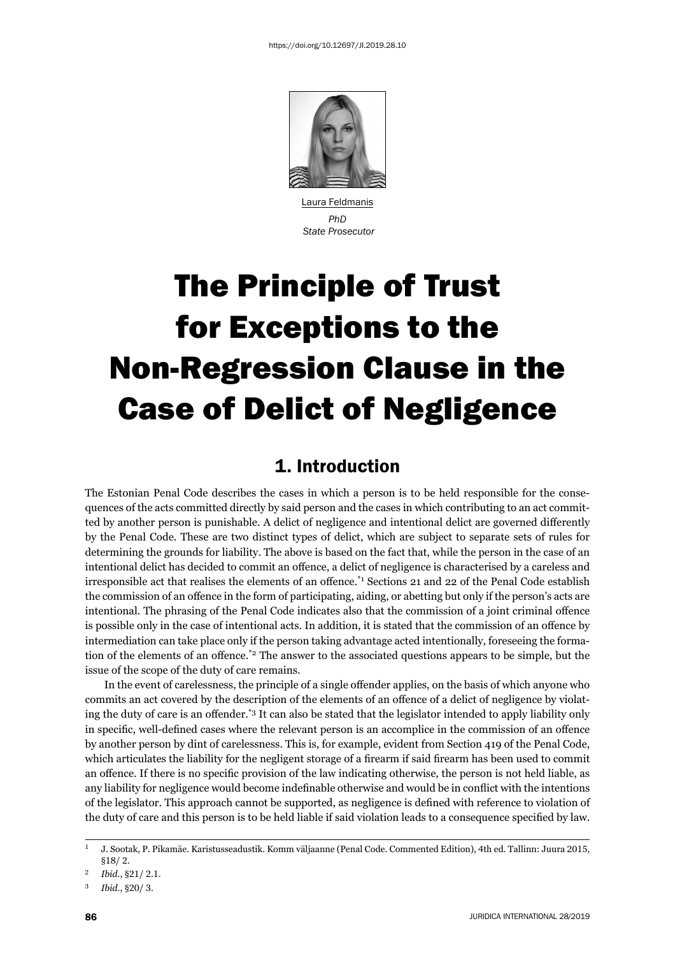

 Laura Feldmanis *PhD State Prosecutor*

# The Principle of Trust for Exceptions to the Non-Regression Clause in the Case of Delict of Negligence

### 1. Introduction

The Estonian Penal Code describes the cases in which a person is to be held responsible for the consequences of the acts committed directly by said person and the cases in which contributing to an act committed by another person is punishable. A delict of negligence and intentional delict are governed differently by the Penal Code. These are two distinct types of delict, which are subject to separate sets of rules for determining the grounds for liability. The above is based on the fact that, while the person in the case of an intentional delict has decided to commit an offence, a delict of negligence is characterised by a careless and irresponsible act that realises the elements of an offence.<sup>\*1</sup> Sections 21 and 22 of the Penal Code establish the commission of an offence in the form of participating, aiding, or abetting but only if the person's acts are intentional. The phrasing of the Penal Code indicates also that the commission of a joint criminal offence is possible only in the case of intentional acts. In addition, it is stated that the commission of an offence by intermediation can take place only if the person taking advantage acted intentionally, foreseeing the formation of the elements of an offence.<sup>\*2</sup> The answer to the associated questions appears to be simple, but the issue of the scope of the duty of care remains.

In the event of carelessness, the principle of a single offender applies, on the basis of which anyone who commits an act covered by the description of the elements of an offence of a delict of negligence by violating the duty of care is an offender.<sup>\*3</sup> It can also be stated that the legislator intended to apply liability only in specific, well-defined cases where the relevant person is an accomplice in the commission of an offence by another person by dint of carelessness. This is, for example, evident from Section 419 of the Penal Code, which articulates the liability for the negligent storage of a firearm if said firearm has been used to commit an offence. If there is no specific provision of the law indicating otherwise, the person is not held liable, as any liability for negligence would become indefinable otherwise and would be in conflict with the intentions of the legislator. This approach cannot be supported, as negligence is defi ned with reference to violation of the duty of care and this person is to be held liable if said violation leads to a consequence specified by law.

 $1$  J. Sootak, P. Pikamäe. Karistusseadustik. Komm väljaanne (Penal Code. Commented Edition), 4th ed. Tallinn: Juura 2015,  $$18/2.$ 

Ibid., §21/2.1.

<sup>3</sup> *Ibid.*, §20/3.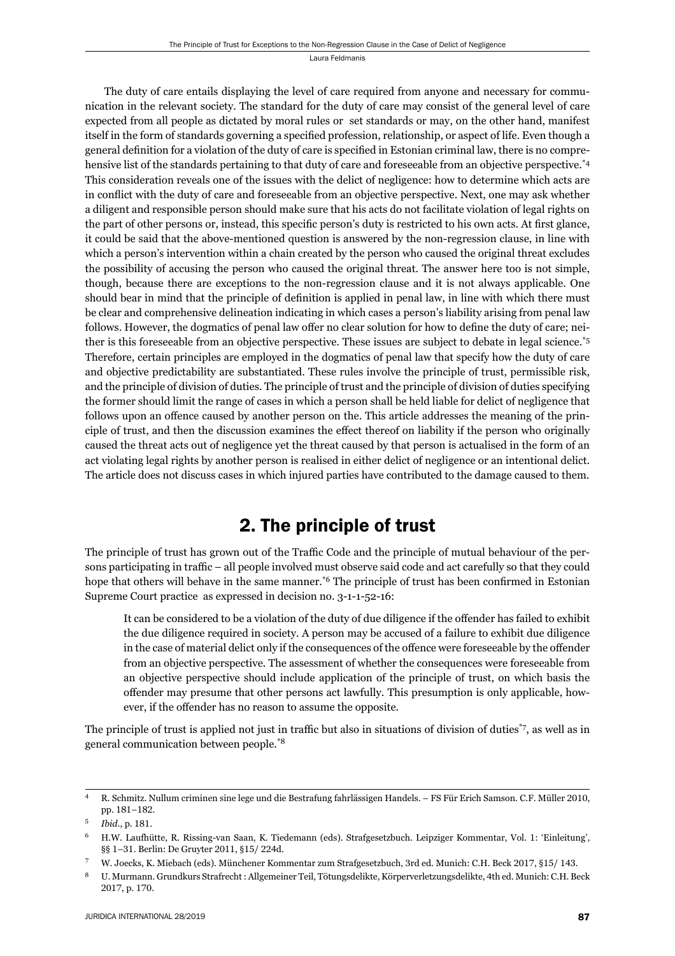The duty of care entails displaying the level of care required from anyone and necessary for communication in the relevant society. The standard for the duty of care may consist of the general level of care expected from all people as dictated by moral rules or set standards or may, on the other hand, manifest itself in the form of standards governing a specified profession, relationship, or aspect of life. Even though a general definition for a violation of the duty of care is specified in Estonian criminal law, there is no comprehensive list of the standards pertaining to that duty of care and foreseeable from an objective perspective.<sup>\*4</sup> This consideration reveals one of the issues with the delict of negligence: how to determine which acts are in conflict with the duty of care and foreseeable from an objective perspective. Next, one may ask whether a diligent and responsible person should make sure that his acts do not facilitate violation of legal rights on the part of other persons or, instead, this specific person's duty is restricted to his own acts. At first glance, it could be said that the above-mentioned question is answered by the non-regression clause, in line with which a person's intervention within a chain created by the person who caused the original threat excludes the possibility of accusing the person who caused the original threat. The answer here too is not simple, though, because there are exceptions to the non-regression clause and it is not always applicable. One should bear in mind that the principle of definition is applied in penal law, in line with which there must be clear and comprehensive delineation indicating in which cases a person's liability arising from penal law follows. However, the dogmatics of penal law offer no clear solution for how to define the duty of care; neither is this foreseeable from an objective perspective. These issues are subject to debate in legal science.\*5 Therefore, certain principles are employed in the dogmatics of penal law that specify how the duty of care and objective predictability are substantiated. These rules involve the principle of trust, permissible risk, and the principle of division of duties. The principle of trust and the principle of division of duties specifying the former should limit the range of cases in which a person shall be held liable for delict of negligence that follows upon an offence caused by another person on the. This article addresses the meaning of the principle of trust, and then the discussion examines the effect thereof on liability if the person who originally caused the threat acts out of negligence yet the threat caused by that person is actualised in the form of an act violating legal rights by another person is realised in either delict of negligence or an intentional delict. The article does not discuss cases in which injured parties have contributed to the damage caused to them.

### 2. The principle of trust

The principle of trust has grown out of the Traffic Code and the principle of mutual behaviour of the persons participating in traffic – all people involved must observe said code and act carefully so that they could hope that others will behave in the same manner.<sup>\*6</sup> The principle of trust has been confirmed in Estonian Supreme Court practice as expressed in decision no. 3-1-1-52-16:

It can be considered to be a violation of the duty of due diligence if the offender has failed to exhibit the due diligence required in society. A person may be accused of a failure to exhibit due diligence in the case of material delict only if the consequences of the offence were foreseeable by the offender from an objective perspective. The assessment of whether the consequences were foreseeable from an objective perspective should include application of the principle of trust, on which basis the offender may presume that other persons act lawfully. This presumption is only applicable, however, if the offender has no reason to assume the opposite.

The principle of trust is applied not just in traffic but also in situations of division of duties<sup> $\tau$ </sup>, as well as in general communication between people.\*8

R. Schmitz. Nullum criminen sine lege und die Bestrafung fahrlässigen Handels. – FS Für Erich Samson. C.F. Müller 2010, pp. 181-182.

<sup>&</sup>lt;sup>5</sup> *Ibid.*, p. 181.

<sup>&</sup>lt;sup>6</sup> H.W. Laufhütte, R. Rissing-van Saan, K. Tiedemann (eds). Strafgesetzbuch. Leipziger Kommentar, Vol. 1: 'Einleitung', §§ 1-31. Berlin: De Gruyter 2011, §15/224d.

W. Joecks, K. Miebach (eds). Münchener Kommentar zum Strafgesetzbuch, 3rd ed. Munich: C.H. Beck 2017, §15/143.

<sup>ɹ</sup> U. Murmann. Grundkurs Strafrecht : Allgemeiner Teil, Tötungsdelikte, Körperverletzungsdelikte, ɵth ed. Munich: C.H. Beck 2017, p. 170.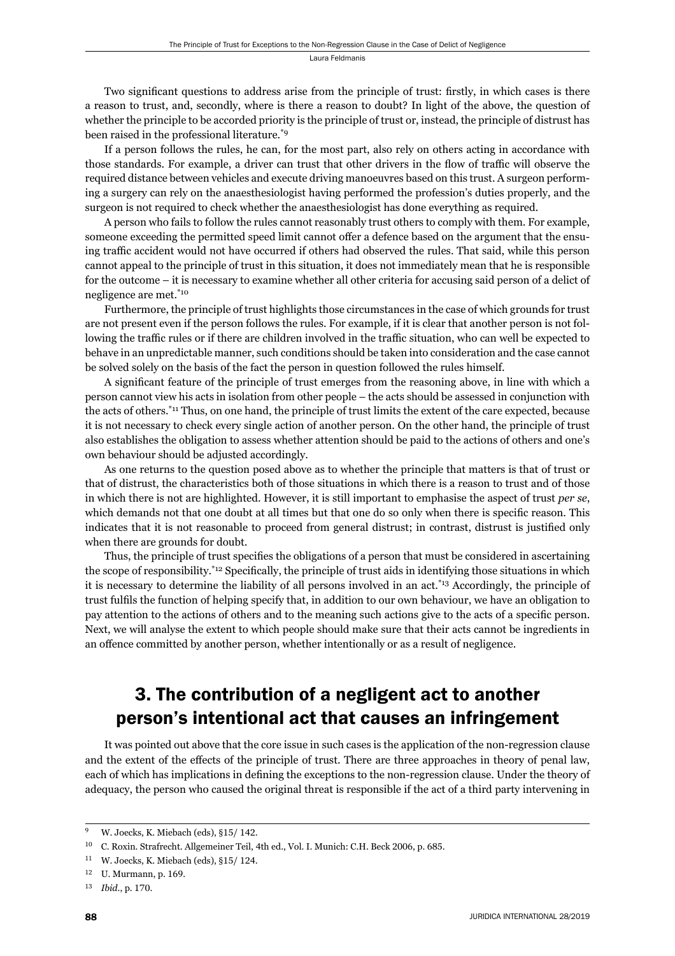Two significant questions to address arise from the principle of trust: firstly, in which cases is there a reason to trust, and, secondly, where is there a reason to doubt? In light of the above, the question of whether the principle to be accorded priority is the principle of trust or, instead, the principle of distrust has been raised in the professional literature.\*9

If a person follows the rules, he can, for the most part, also rely on others acting in accordance with those standards. For example, a driver can trust that other drivers in the flow of traffic will observe the required distance between vehicles and execute driving manoeuvres based on this trust. A surgeon performing a surgery can rely on the anaesthesiologist having performed the profession's duties properly, and the surgeon is not required to check whether the anaesthesiologist has done everything as required.

A person who fails to follow the rules cannot reasonably trust others to comply with them. For example, someone exceeding the permitted speed limit cannot offer a defence based on the argument that the ensuing traffic accident would not have occurred if others had observed the rules. That said, while this person cannot appeal to the principle of trust in this situation, it does not immediately mean that he is responsible for the outcome – it is necessary to examine whether all other criteria for accusing said person of a delict of negligence are met.\*10

Furthermore, the principle of trust highlights those circumstances in the case of which grounds for trust are not present even if the person follows the rules. For example, if it is clear that another person is not following the traffic rules or if there are children involved in the traffic situation, who can well be expected to behave in an unpredictable manner, such conditions should be taken into consideration and the case cannot be solved solely on the basis of the fact the person in question followed the rules himself.

A significant feature of the principle of trust emerges from the reasoning above, in line with which a person cannot view his acts in isolation from other people – the acts should be assessed in conjunction with the acts of others.\*11 Thus, on one hand, the principle of trust limits the extent of the care expected, because it is not necessary to check every single action of another person. On the other hand, the principle of trust also establishes the obligation to assess whether attention should be paid to the actions of others and one's own behaviour should be adjusted accordingly.

As one returns to the question posed above as to whether the principle that matters is that of trust or that of distrust, the characteristics both of those situations in which there is a reason to trust and of those in which there is not are highlighted. However, it is still important to emphasise the aspect of trust *per se*, which demands not that one doubt at all times but that one do so only when there is specific reason. This indicates that it is not reasonable to proceed from general distrust; in contrast, distrust is justified only when there are grounds for doubt.

Thus, the principle of trust specifies the obligations of a person that must be considered in ascertaining the scope of responsibility.<sup>\*12</sup> Specifically, the principle of trust aids in identifying those situations in which it is necessary to determine the liability of all persons involved in an act.\*13 Accordingly, the principle of trust fulfils the function of helping specify that, in addition to our own behaviour, we have an obligation to pay attention to the actions of others and to the meaning such actions give to the acts of a specifi c person. Next, we will analyse the extent to which people should make sure that their acts cannot be ingredients in an offence committed by another person, whether intentionally or as a result of negligence.

# 3. The contribution of a negligent act to another person's intentional act that causes an infringement

It was pointed out above that the core issue in such cases is the application of the non-regression clause and the extent of the effects of the principle of trust. There are three approaches in theory of penal law, each of which has implications in defining the exceptions to the non-regression clause. Under the theory of adequacy, the person who caused the original threat is responsible if the act of a third party intervening in

<sup>&</sup>lt;sup>9</sup> W. Joecks, K. Miebach (eds), §15/142.

<sup>&</sup>lt;sup>10</sup> C. Roxin. Strafrecht. Allgemeiner Teil, 4th ed., Vol. I. Munich: C.H. Beck 2006, p. 685.

 $11$  W. Joecks, K. Miebach (eds), §15/124.

 $12$  U. Murmann, p. 169.

<sup>13</sup> *Ibid.*, p. 170.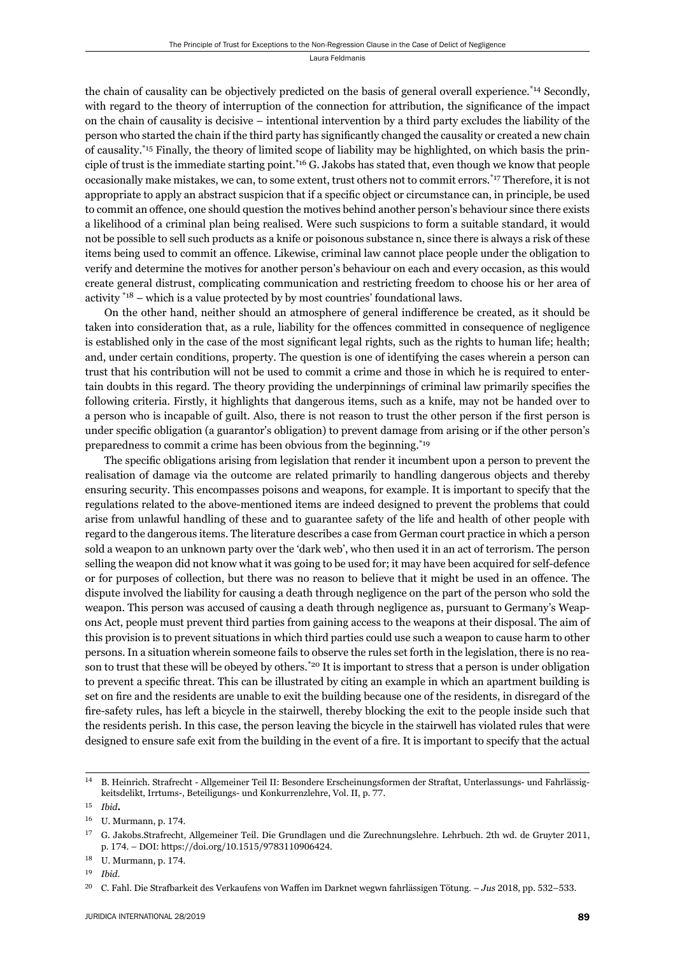the chain of causality can be objectively predicted on the basis of general overall experience.\*14 Secondly, with regard to the theory of interruption of the connection for attribution, the significance of the impact on the chain of causality is decisive – intentional intervention by a third party excludes the liability of the person who started the chain if the third party has significantly changed the causality or created a new chain of causality.\*15 Finally, the theory of limited scope of liability may be highlighted, on which basis the principle of trust is the immediate starting point.\*16 G. Jakobs has stated that, even though we know that people occasionally make mistakes, we can, to some extent, trust others not to commit errors.\*17 Therefore, it is not appropriate to apply an abstract suspicion that if a specific object or circumstance can, in principle, be used to commit an offence, one should question the motives behind another person's behaviour since there exists a likelihood of a criminal plan being realised. Were such suspicions to form a suitable standard, it would not be possible to sell such products as a knife or poisonous substance n, since there is always a risk of these items being used to commit an offence. Likewise, criminal law cannot place people under the obligation to verify and determine the motives for another person's behaviour on each and every occasion, as this would create general distrust, complicating communication and restricting freedom to choose his or her area of activity  $*18$  – which is a value protected by by most countries' foundational laws.

On the other hand, neither should an atmosphere of general indifference be created, as it should be taken into consideration that, as a rule, liability for the offences committed in consequence of negligence is established only in the case of the most significant legal rights, such as the rights to human life; health; and, under certain conditions, property. The question is one of identifying the cases wherein a person can trust that his contribution will not be used to commit a crime and those in which he is required to entertain doubts in this regard. The theory providing the underpinnings of criminal law primarily specifies the following criteria. Firstly, it highlights that dangerous items, such as a knife, may not be handed over to a person who is incapable of guilt. Also, there is not reason to trust the other person if the first person is under specific obligation (a guarantor's obligation) to prevent damage from arising or if the other person's preparedness to commit a crime has been obvious from the beginning.\*19

The specific obligations arising from legislation that render it incumbent upon a person to prevent the realisation of damage via the outcome are related primarily to handling dangerous objects and thereby ensuring security. This encompasses poisons and weapons, for example. It is important to specify that the regulations related to the above-mentioned items are indeed designed to prevent the problems that could arise from unlawful handling of these and to guarantee safety of the life and health of other people with regard to the dangerous items. The literature describes a case from German court practice in which a person sold a weapon to an unknown party over the 'dark web', who then used it in an act of terrorism. The person selling the weapon did not know what it was going to be used for; it may have been acquired for self-defence or for purposes of collection, but there was no reason to believe that it might be used in an offence. The dispute involved the liability for causing a death through negligence on the part of the person who sold the weapon. This person was accused of causing a death through negligence as, pursuant to Germany's Weapons Act, people must prevent third parties from gaining access to the weapons at their disposal. The aim of this provision is to prevent situations in which third parties could use such a weapon to cause harm to other persons. In a situation wherein someone fails to observe the rules set forth in the legislation, there is no reason to trust that these will be obeyed by others.<sup>\*20</sup> It is important to stress that a person is under obligation to prevent a specific threat. This can be illustrated by citing an example in which an apartment building is set on fire and the residents are unable to exit the building because one of the residents, in disregard of the fire-safety rules, has left a bicycle in the stairwell, thereby blocking the exit to the people inside such that the residents perish. In this case, the person leaving the bicycle in the stairwell has violated rules that were designed to ensure safe exit from the building in the event of a fire. It is important to specify that the actual

<sup>&</sup>lt;sup>14</sup> B. Heinrich. Strafrecht - Allgemeiner Teil II: Besondere Erscheinungsformen der Straftat, Unterlassungs- und Fahrlässigkeitsdelikt, Irrtums-, Beteiligungs- und Konkurrenzlehre, Vol. II, p. 77.

ɲɶ *Ibid***.**

<sup>&</sup>lt;sup>16</sup> U. Murmann, p. 174.

<sup>&</sup>lt;sup>17</sup> G. Jakobs.Strafrecht, Allgemeiner Teil. Die Grundlagen und die Zurechnungslehre. Lehrbuch. 2th wd. de Gruyter 2011, p. 174. – DOI: https://doi.org/10.1515/9783110906424.

<sup>&</sup>lt;sup>18</sup> U. Murmann, p. 174.

ɲɺ *Ibid*.

<sup>&</sup>lt;sup>20</sup> C. Fahl. Die Strafbarkeit des Verkaufens von Waffen im Darknet wegwn fahrlässigen Tötung. – *Jus* 2018, pp. 532–533.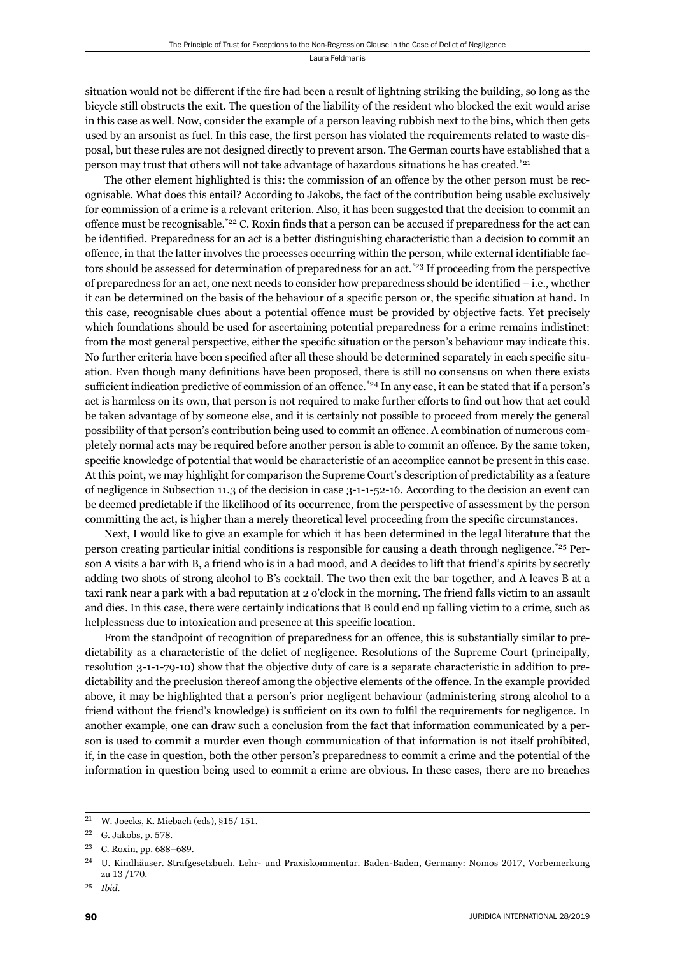situation would not be different if the fire had been a result of lightning striking the building, so long as the bicycle still obstructs the exit. The question of the liability of the resident who blocked the exit would arise in this case as well. Now, consider the example of a person leaving rubbish next to the bins, which then gets used by an arsonist as fuel. In this case, the first person has violated the requirements related to waste disposal, but these rules are not designed directly to prevent arson. The German courts have established that a person may trust that others will not take advantage of hazardous situations he has created.\*21

The other element highlighted is this: the commission of an offence by the other person must be recognisable. What does this entail? According to Jakobs, the fact of the contribution being usable exclusively for commission of a crime is a relevant criterion. Also, it has been suggested that the decision to commit an offence must be recognisable.\* $22$  C. Roxin finds that a person can be accused if preparedness for the act can be identified. Preparedness for an act is a better distinguishing characteristic than a decision to commit an offence, in that the latter involves the processes occurring within the person, while external identifiable factors should be assessed for determination of preparedness for an act.<sup>\*23</sup> If proceeding from the perspective of preparedness for an act, one next needs to consider how preparedness should be identified  $-$  i.e., whether it can be determined on the basis of the behaviour of a specific person or, the specific situation at hand. In this case, recognisable clues about a potential offence must be provided by objective facts. Yet precisely which foundations should be used for ascertaining potential preparedness for a crime remains indistinct: from the most general perspective, either the specific situation or the person's behaviour may indicate this. No further criteria have been specified after all these should be determined separately in each specific situation. Even though many definitions have been proposed, there is still no consensus on when there exists sufficient indication predictive of commission of an offence.<sup>\*24</sup> In any case, it can be stated that if a person's act is harmless on its own, that person is not required to make further efforts to find out how that act could be taken advantage of by someone else, and it is certainly not possible to proceed from merely the general possibility of that person's contribution being used to commit an offence. A combination of numerous completely normal acts may be required before another person is able to commit an offence. By the same token, specific knowledge of potential that would be characteristic of an accomplice cannot be present in this case. At this point, we may highlight for comparison the Supreme Court's description of predictability as a feature of negligence in Subsection 11.3 of the decision in case 3-1-1-52-16. According to the decision an event can be deemed predictable if the likelihood of its occurrence, from the perspective of assessment by the person committing the act, is higher than a merely theoretical level proceeding from the specific circumstances.

Next, I would like to give an example for which it has been determined in the legal literature that the person creating particular initial conditions is responsible for causing a death through negligence.\*25 Person A visits a bar with B, a friend who is in a bad mood, and A decides to lift that friend's spirits by secretly adding two shots of strong alcohol to B's cocktail. The two then exit the bar together, and A leaves B at a taxi rank near a park with a bad reputation at 2 o'clock in the morning. The friend falls victim to an assault and dies. In this case, there were certainly indications that B could end up falling victim to a crime, such as helplessness due to intoxication and presence at this specific location.

From the standpoint of recognition of preparedness for an offence, this is substantially similar to predictability as a characteristic of the delict of negligence. Resolutions of the Supreme Court (principally, resolution 3-1-1-79-10) show that the objective duty of care is a separate characteristic in addition to predictability and the preclusion thereof among the objective elements of the offence. In the example provided above, it may be highlighted that a person's prior negligent behaviour (administering strong alcohol to a friend without the friend's knowledge) is sufficient on its own to fulfil the requirements for negligence. In another example, one can draw such a conclusion from the fact that information communicated by a person is used to commit a murder even though communication of that information is not itself prohibited, if, in the case in question, both the other person's preparedness to commit a crime and the potential of the information in question being used to commit a crime are obvious. In these cases, there are no breaches

<sup>&</sup>lt;sup>21</sup> W. Joecks, K. Miebach (eds), §15/151.

<sup>&</sup>lt;sup>22</sup> G. Jakobs, p. 578.

<sup>&</sup>lt;sup>23</sup> C. Roxin, pp. 688-689.

<sup>&</sup>lt;sup>24</sup> U. Kindhäuser. Strafgesetzbuch. Lehr- und Praxiskommentar. Baden-Baden, Germany: Nomos 2017, Vorbemerkung zu 13 /170.

ɳɶ *Ibid*.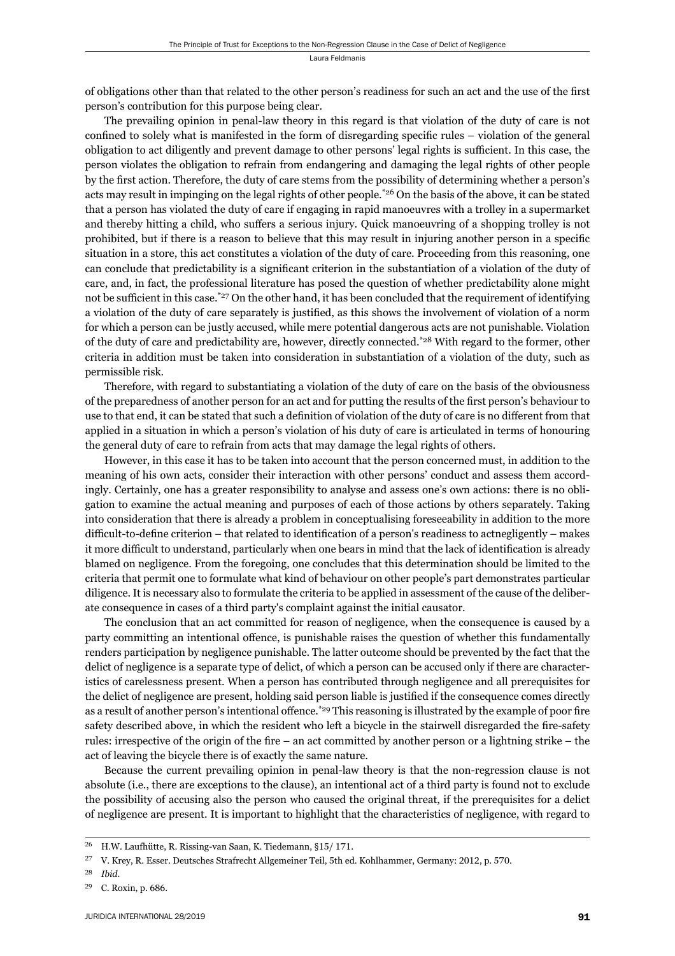of obligations other than that related to the other person's readiness for such an act and the use of the first person's contribution for this purpose being clear.

The prevailing opinion in penal-law theory in this regard is that violation of the duty of care is not confined to solely what is manifested in the form of disregarding specific rules – violation of the general obligation to act diligently and prevent damage to other persons' legal rights is sufficient. In this case, the person violates the obligation to refrain from endangering and damaging the legal rights of other people by the first action. Therefore, the duty of care stems from the possibility of determining whether a person's acts may result in impinging on the legal rights of other people.\*26 On the basis of the above, it can be stated that a person has violated the duty of care if engaging in rapid manoeuvres with a trolley in a supermarket and thereby hitting a child, who suffers a serious injury. Quick manoeuvring of a shopping trolley is not prohibited, but if there is a reason to believe that this may result in injuring another person in a specific situation in a store, this act constitutes a violation of the duty of care. Proceeding from this reasoning, one can conclude that predictability is a significant criterion in the substantiation of a violation of the duty of care, and, in fact, the professional literature has posed the question of whether predictability alone might not be sufficient in this case.<sup>\*27</sup> On the other hand, it has been concluded that the requirement of identifying a violation of the duty of care separately is justified, as this shows the involvement of violation of a norm for which a person can be justly accused, while mere potential dangerous acts are not punishable. Violation of the duty of care and predictability are, however, directly connected.\*28 With regard to the former, other criteria in addition must be taken into consideration in substantiation of a violation of the duty, such as permissible risk.

Therefore, with regard to substantiating a violation of the duty of care on the basis of the obviousness of the preparedness of another person for an act and for putting the results of the first person's behaviour to use to that end, it can be stated that such a definition of violation of the duty of care is no different from that applied in a situation in which a person's violation of his duty of care is articulated in terms of honouring the general duty of care to refrain from acts that may damage the legal rights of others.

However, in this case it has to be taken into account that the person concerned must, in addition to the meaning of his own acts, consider their interaction with other persons' conduct and assess them accordingly. Certainly, one has a greater responsibility to analyse and assess one's own actions: there is no obligation to examine the actual meaning and purposes of each of those actions by others separately. Taking into consideration that there is already a problem in conceptualising foreseeability in addition to the more difficult-to-define criterion – that related to identification of a person's readiness to actnegligently – makes it more difficult to understand, particularly when one bears in mind that the lack of identification is already blamed on negligence. From the foregoing, one concludes that this determination should be limited to the criteria that permit one to formulate what kind of behaviour on other people's part demonstrates particular diligence. It is necessary also to formulate the criteria to be applied in assessment of the cause of the deliberate consequence in cases of a third party's complaint against the initial causator.

The conclusion that an act committed for reason of negligence, when the consequence is caused by a party committing an intentional offence, is punishable raises the question of whether this fundamentally renders participation by negligence punishable. The latter outcome should be prevented by the fact that the delict of negligence is a separate type of delict, of which a person can be accused only if there are characteristics of carelessness present. When a person has contributed through negligence and all prerequisites for the delict of negligence are present, holding said person liable is justified if the consequence comes directly as a result of another person's intentional offence.\*29 This reasoning is illustrated by the example of poor fire safety described above, in which the resident who left a bicycle in the stairwell disregarded the fire-safety rules: irrespective of the origin of the fire – an act committed by another person or a lightning strike – the act of leaving the bicycle there is of exactly the same nature.

Because the current prevailing opinion in penal-law theory is that the non-regression clause is not absolute (i.e., there are exceptions to the clause), an intentional act of a third party is found not to exclude the possibility of accusing also the person who caused the original threat, if the prerequisites for a delict of negligence are present. It is important to highlight that the characteristics of negligence, with regard to

<sup>&</sup>lt;sup>26</sup> H.W. Laufhütte, R. Rissing-van Saan, K. Tiedemann, §15/171.

<sup>&</sup>lt;sup>27</sup> V. Krey, R. Esser. Deutsches Strafrecht Allgemeiner Teil, 5th ed. Kohlhammer, Germany: 2012, p. 570.

ɳɹ *Ibid*.

<sup>&</sup>lt;sup>29</sup> C. Roxin, p. 686.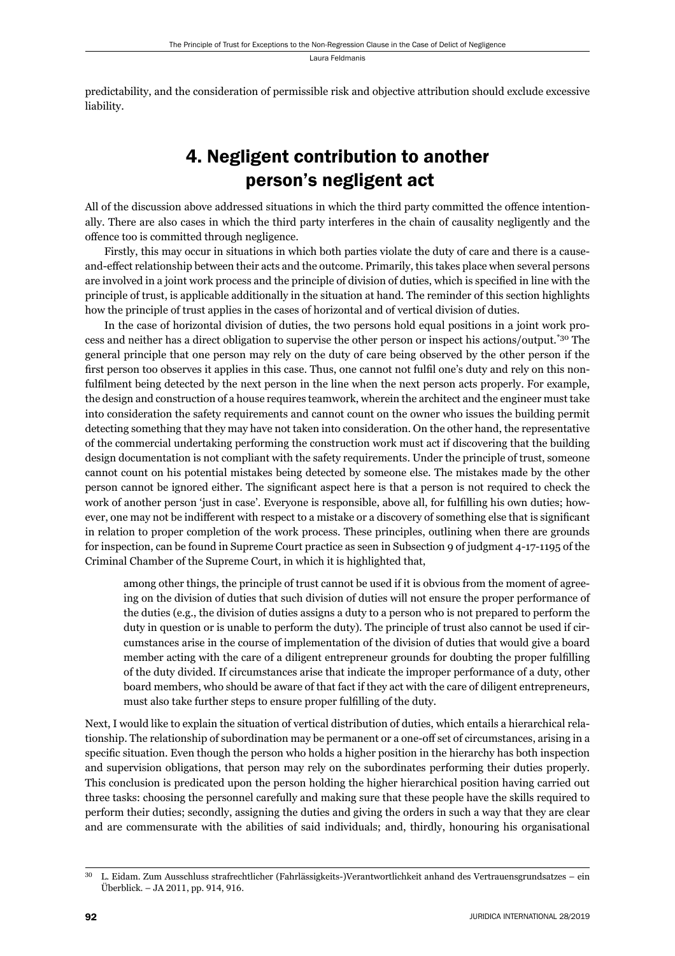predictability, and the consideration of permissible risk and objective attribution should exclude excessive liability.

# 4. Negligent contribution to another person's negligent act

All of the discussion above addressed situations in which the third party committed the offence intentionally. There are also cases in which the third party interferes in the chain of causality negligently and the offence too is committed through negligence.

Firstly, this may occur in situations in which both parties violate the duty of care and there is a causeand-effect relationship between their acts and the outcome. Primarily, this takes place when several persons are involved in a joint work process and the principle of division of duties, which is specified in line with the principle of trust, is applicable additionally in the situation at hand. The reminder of this section highlights how the principle of trust applies in the cases of horizontal and of vertical division of duties.

In the case of horizontal division of duties, the two persons hold equal positions in a joint work process and neither has a direct obligation to supervise the other person or inspect his actions/output.\*30 The general principle that one person may rely on the duty of care being observed by the other person if the first person too observes it applies in this case. Thus, one cannot not fulfil one's duty and rely on this nonfulfilment being detected by the next person in the line when the next person acts properly. For example, the design and construction of a house requires teamwork, wherein the architect and the engineer must take into consideration the safety requirements and cannot count on the owner who issues the building permit detecting something that they may have not taken into consideration. On the other hand, the representative of the commercial undertaking performing the construction work must act if discovering that the building design documentation is not compliant with the safety requirements. Under the principle of trust, someone cannot count on his potential mistakes being detected by someone else. The mistakes made by the other person cannot be ignored either. The significant aspect here is that a person is not required to check the work of another person 'just in case'. Everyone is responsible, above all, for fulfilling his own duties; however, one may not be indifferent with respect to a mistake or a discovery of something else that is significant in relation to proper completion of the work process. These principles, outlining when there are grounds for inspection, can be found in Supreme Court practice as seen in Subsection 9 of judgment 4-17-1195 of the Criminal Chamber of the Supreme Court, in which it is highlighted that,

among other things, the principle of trust cannot be used if it is obvious from the moment of agreeing on the division of duties that such division of duties will not ensure the proper performance of the duties (e.g., the division of duties assigns a duty to a person who is not prepared to perform the duty in question or is unable to perform the duty). The principle of trust also cannot be used if circumstances arise in the course of implementation of the division of duties that would give a board member acting with the care of a diligent entrepreneur grounds for doubting the proper fulfilling of the duty divided. If circumstances arise that indicate the improper performance of a duty, other board members, who should be aware of that fact if they act with the care of diligent entrepreneurs, must also take further steps to ensure proper fulfilling of the duty.

Next, I would like to explain the situation of vertical distribution of duties, which entails a hierarchical relationship. The relationship of subordination may be permanent or a one-off set of circumstances, arising in a specific situation. Even though the person who holds a higher position in the hierarchy has both inspection and supervision obligations, that person may rely on the subordinates performing their duties properly. This conclusion is predicated upon the person holding the higher hierarchical position having carried out three tasks: choosing the personnel carefully and making sure that these people have the skills required to perform their duties; secondly, assigning the duties and giving the orders in such a way that they are clear and are commensurate with the abilities of said individuals; and, thirdly, honouring his organisational

ɴɱ L. Eidam. Zum Ausschluss strafrechtlicher (Fahrlässigkeits-)Verantwortlichkeit anhand des Vertrauensgrundsatzes – ein Überblick. - JA 2011, pp. 914, 916.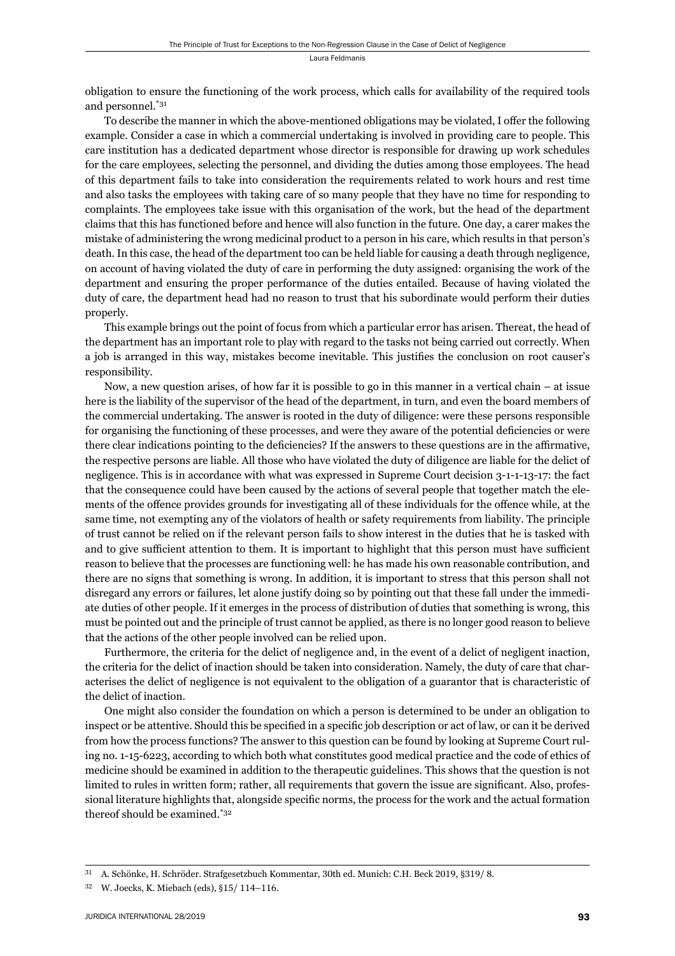obligation to ensure the functioning of the work process, which calls for availability of the required tools and personnel.\*31

To describe the manner in which the above-mentioned obligations may be violated. I offer the following example. Consider a case in which a commercial undertaking is involved in providing care to people. This care institution has a dedicated department whose director is responsible for drawing up work schedules for the care employees, selecting the personnel, and dividing the duties among those employees. The head of this department fails to take into consideration the requirements related to work hours and rest time and also tasks the employees with taking care of so many people that they have no time for responding to complaints. The employees take issue with this organisation of the work, but the head of the department claims that this has functioned before and hence will also function in the future. One day, a carer makes the mistake of administering the wrong medicinal product to a person in his care, which results in that person's death. In this case, the head of the department too can be held liable for causing a death through negligence, on account of having violated the duty of care in performing the duty assigned: organising the work of the department and ensuring the proper performance of the duties entailed. Because of having violated the duty of care, the department head had no reason to trust that his subordinate would perform their duties properly.

This example brings out the point of focus from which a particular error has arisen. Thereat, the head of the department has an important role to play with regard to the tasks not being carried out correctly. When a job is arranged in this way, mistakes become inevitable. This justifies the conclusion on root causer's responsibility.

Now, a new question arises, of how far it is possible to go in this manner in a vertical chain – at issue here is the liability of the supervisor of the head of the department, in turn, and even the board members of the commercial undertaking. The answer is rooted in the duty of diligence: were these persons responsible for organising the functioning of these processes, and were they aware of the potential deficiencies or were there clear indications pointing to the deficiencies? If the answers to these questions are in the affirmative, the respective persons are liable. All those who have violated the duty of diligence are liable for the delict of negligence. This is in accordance with what was expressed in Supreme Court decision 3-1-1-13-17: the fact that the consequence could have been caused by the actions of several people that together match the elements of the offence provides grounds for investigating all of these individuals for the offence while, at the same time, not exempting any of the violators of health or safety requirements from liability. The principle of trust cannot be relied on if the relevant person fails to show interest in the duties that he is tasked with and to give sufficient attention to them. It is important to highlight that this person must have sufficient reason to believe that the processes are functioning well: he has made his own reasonable contribution, and there are no signs that something is wrong. In addition, it is important to stress that this person shall not disregard any errors or failures, let alone justify doing so by pointing out that these fall under the immediate duties of other people. If it emerges in the process of distribution of duties that something is wrong, this must be pointed out and the principle of trust cannot be applied, as there is no longer good reason to believe that the actions of the other people involved can be relied upon.

Furthermore, the criteria for the delict of negligence and, in the event of a delict of negligent inaction, the criteria for the delict of inaction should be taken into consideration. Namely, the duty of care that characterises the delict of negligence is not equivalent to the obligation of a guarantor that is characteristic of the delict of inaction.

One might also consider the foundation on which a person is determined to be under an obligation to inspect or be attentive. Should this be specified in a specific job description or act of law, or can it be derived from how the process functions? The answer to this question can be found by looking at Supreme Court ruling no. 1-15-6223, according to which both what constitutes good medical practice and the code of ethics of medicine should be examined in addition to the therapeutic guidelines. This shows that the question is not limited to rules in written form; rather, all requirements that govern the issue are significant. Also, professional literature highlights that, alongside specific norms, the process for the work and the actual formation thereof should be examined.\*32

A. Schönke, H. Schröder. Strafgesetzbuch Kommentar, 30th ed. Munich: C.H. Beck 2019, §319/8.

<sup>&</sup>lt;sup>32</sup> W. Joecks, K. Miebach (eds), §15/ 114-116.